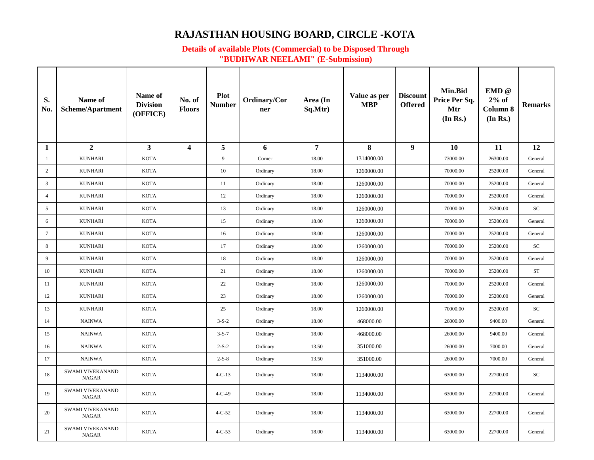## **RAJASTHAN HOUSING BOARD, CIRCLE -KOTA**

## **Details of available Plots (Commercial) to be Disposed Through "BUDHWAR NEELAMI" (E-Submission)**

| S.<br>No.       | Name of<br>Scheme/Apartment      | Name of<br><b>Division</b><br>(OFFICE) | No. of<br><b>Floors</b> | Plot<br><b>Number</b> | Ordinary/Cor<br>ner | Area (In<br>Sq.Mtr) | Value as per<br><b>MBP</b> | <b>Discount</b><br><b>Offered</b> | Min.Bid<br>Price Per Sq.<br>Mtr<br>(In Rs.) | $EMD$ $@$<br>$2%$ of<br>Column 8<br>(In Rs.) | <b>Remarks</b> |
|-----------------|----------------------------------|----------------------------------------|-------------------------|-----------------------|---------------------|---------------------|----------------------------|-----------------------------------|---------------------------------------------|----------------------------------------------|----------------|
| 1               | $\overline{2}$                   | $\mathbf{3}$                           | $\overline{\mathbf{4}}$ | 5                     | 6                   | $\overline{7}$      | 8                          | $\boldsymbol{9}$                  | <b>10</b>                                   | 11                                           | 12             |
| $\mathbf{1}$    | <b>KUNHARI</b>                   | <b>KOTA</b>                            |                         | 9                     | Corner              | 18.00               | 1314000.00                 |                                   | 73000.00                                    | 26300.00                                     | General        |
| 2               | <b>KUNHARI</b>                   | <b>KOTA</b>                            |                         | 10                    | Ordinary            | 18.00               | 1260000.00                 |                                   | 70000.00                                    | 25200.00                                     | General        |
| $\overline{3}$  | <b>KUNHARI</b>                   | <b>KOTA</b>                            |                         | 11                    | Ordinary            | 18.00               | 1260000.00                 |                                   | 70000.00                                    | 25200.00                                     | General        |
| $\overline{4}$  | <b>KUNHARI</b>                   | <b>KOTA</b>                            |                         | 12                    | Ordinary            | 18.00               | 1260000.00                 |                                   | 70000.00                                    | 25200.00                                     | General        |
| 5               | <b>KUNHARI</b>                   | <b>KOTA</b>                            |                         | 13                    | Ordinary            | 18.00               | 1260000.00                 |                                   | 70000.00                                    | 25200.00                                     | SC.            |
| 6               | <b>KUNHARI</b>                   | <b>KOTA</b>                            |                         | 15                    | Ordinary            | 18.00               | 1260000.00                 |                                   | 70000.00                                    | 25200.00                                     | General        |
| $7\overline{ }$ | <b>KUNHARI</b>                   | <b>KOTA</b>                            |                         | 16                    | Ordinary            | 18.00               | 1260000.00                 |                                   | 70000.00                                    | 25200.00                                     | General        |
| 8               | <b>KUNHARI</b>                   | <b>KOTA</b>                            |                         | 17                    | Ordinary            | 18.00               | 1260000.00                 |                                   | 70000.00                                    | 25200.00                                     | SC.            |
| 9               | <b>KUNHARI</b>                   | <b>KOTA</b>                            |                         | 18                    | Ordinary            | 18.00               | 1260000.00                 |                                   | 70000.00                                    | 25200.00                                     | General        |
| 10              | <b>KUNHARI</b>                   | <b>KOTA</b>                            |                         | 21                    | Ordinary            | 18.00               | 1260000.00                 |                                   | 70000.00                                    | 25200.00                                     | ${\rm ST}$     |
| 11              | <b>KUNHARI</b>                   | <b>KOTA</b>                            |                         | 22                    | Ordinary            | 18.00               | 1260000.00                 |                                   | 70000.00                                    | 25200.00                                     | General        |
| 12              | <b>KUNHARI</b>                   | <b>KOTA</b>                            |                         | 23                    | Ordinary            | 18.00               | 1260000.00                 |                                   | 70000.00                                    | 25200.00                                     | General        |
| 13              | <b>KUNHARI</b>                   | <b>KOTA</b>                            |                         | 25                    | Ordinary            | 18.00               | 1260000.00                 |                                   | 70000.00                                    | 25200.00                                     | SC             |
| 14              | <b>NAINWA</b>                    | <b>KOTA</b>                            |                         | $3 - S - 2$           | Ordinary            | 18.00               | 468000.00                  |                                   | 26000.00                                    | 9400.00                                      | General        |
| 15              | <b>NAINWA</b>                    | <b>KOTA</b>                            |                         | $3 - S - 7$           | Ordinary            | 18.00               | 468000.00                  |                                   | 26000.00                                    | 9400.00                                      | General        |
| 16              | <b>NAINWA</b>                    | <b>KOTA</b>                            |                         | $2 - S - 2$           | Ordinary            | 13.50               | 351000.00                  |                                   | 26000.00                                    | 7000.00                                      | General        |
| 17              | <b>NAINWA</b>                    | <b>KOTA</b>                            |                         | $2 - S - 8$           | Ordinary            | 13.50               | 351000.00                  |                                   | 26000.00                                    | 7000.00                                      | General        |
| 18              | SWAMI VIVEKANAND<br><b>NAGAR</b> | <b>KOTA</b>                            |                         | $4 - C - 13$          | Ordinary            | 18.00               | 1134000.00                 |                                   | 63000.00                                    | 22700.00                                     | SC             |
| 19              | SWAMI VIVEKANAND<br><b>NAGAR</b> | <b>KOTA</b>                            |                         | $4 - C - 49$          | Ordinary            | 18.00               | 1134000.00                 |                                   | 63000.00                                    | 22700.00                                     | General        |
| 20              | SWAMI VIVEKANAND<br><b>NAGAR</b> | <b>KOTA</b>                            |                         | $4 - C - 52$          | Ordinary            | 18.00               | 1134000.00                 |                                   | 63000.00                                    | 22700.00                                     | General        |
| 21              | SWAMI VIVEKANAND<br><b>NAGAR</b> | <b>KOTA</b>                            |                         | $4 - C - 53$          | Ordinary            | 18.00               | 1134000.00                 |                                   | 63000.00                                    | 22700.00                                     | General        |